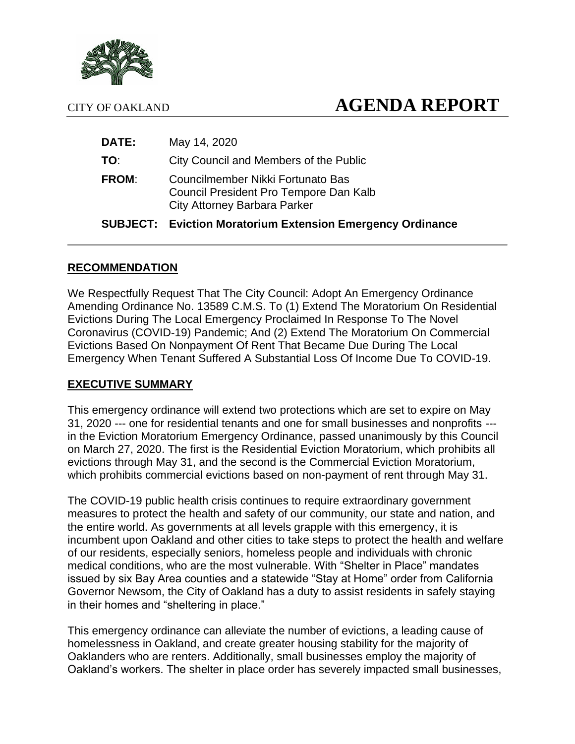

# CITY OF OAKLAND **AGENDA REPORT**

|              | <b>SUBJECT: Eviction Moratorium Extension Emergency Ordinance</b>                                                  |
|--------------|--------------------------------------------------------------------------------------------------------------------|
| <b>FROM:</b> | Councilmember Nikki Fortunato Bas<br>Council President Pro Tempore Dan Kalb<br><b>City Attorney Barbara Parker</b> |
| TO:          | City Council and Members of the Public                                                                             |
| <b>DATE:</b> | May 14, 2020                                                                                                       |

#### **RECOMMENDATION**

We Respectfully Request That The City Council: Adopt An Emergency Ordinance Amending Ordinance No. 13589 C.M.S. To (1) Extend The Moratorium On Residential Evictions During The Local Emergency Proclaimed In Response To The Novel Coronavirus (COVID-19) Pandemic; And (2) Extend The Moratorium On Commercial Evictions Based On Nonpayment Of Rent That Became Due During The Local Emergency When Tenant Suffered A Substantial Loss Of Income Due To COVID-19.

#### **EXECUTIVE SUMMARY**

This emergency ordinance will extend two protections which are set to expire on May 31, 2020 --- one for residential tenants and one for small businesses and nonprofits -- in the Eviction Moratorium Emergency Ordinance, passed unanimously by this Council on March 27, 2020. The first is the Residential Eviction Moratorium, which prohibits all evictions through May 31, and the second is the Commercial Eviction Moratorium, which prohibits commercial evictions based on non-payment of rent through May 31.

The COVID-19 public health crisis continues to require extraordinary government measures to protect the health and safety of our community, our state and nation, and the entire world. As governments at all levels grapple with this emergency, it is incumbent upon Oakland and other cities to take steps to protect the health and welfare of our residents, especially seniors, homeless people and individuals with chronic medical conditions, who are the most vulnerable. With "Shelter in Place" mandates issued by six Bay Area counties and a statewide "Stay at Home" order from California Governor Newsom, the City of Oakland has a duty to assist residents in safely staying in their homes and "sheltering in place."

This emergency ordinance can alleviate the number of evictions, a leading cause of homelessness in Oakland, and create greater housing stability for the majority of Oaklanders who are renters. Additionally, small businesses employ the majority of Oakland's workers. The shelter in place order has severely impacted small businesses,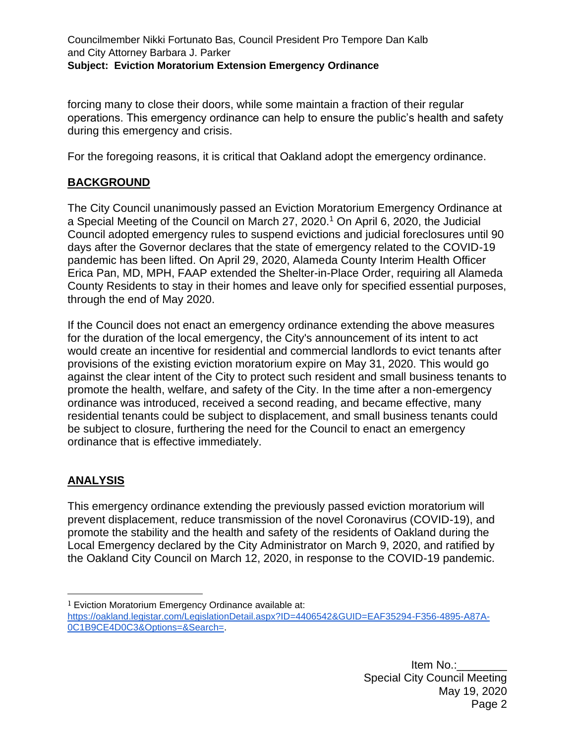forcing many to close their doors, while some maintain a fraction of their regular operations. This emergency ordinance can help to ensure the public's health and safety during this emergency and crisis.

For the foregoing reasons, it is critical that Oakland adopt the emergency ordinance.

### **BACKGROUND**

The City Council unanimously passed an Eviction Moratorium Emergency Ordinance at a Special Meeting of the Council on March 27, 2020.<sup>1</sup> On April 6, 2020, the Judicial Council adopted emergency rules to suspend evictions and judicial foreclosures until 90 days after the Governor declares that the state of emergency related to the COVID-19 pandemic has been lifted. On April 29, 2020, Alameda County Interim Health Officer Erica Pan, MD, MPH, FAAP extended the Shelter-in-Place Order, requiring all Alameda County Residents to stay in their homes and leave only for specified essential purposes, through the end of May 2020.

If the Council does not enact an emergency ordinance extending the above measures for the duration of the local emergency, the City's announcement of its intent to act would create an incentive for residential and commercial landlords to evict tenants after provisions of the existing eviction moratorium expire on May 31, 2020. This would go against the clear intent of the City to protect such resident and small business tenants to promote the health, welfare, and safety of the City. In the time after a non-emergency ordinance was introduced, received a second reading, and became effective, many residential tenants could be subject to displacement, and small business tenants could be subject to closure, furthering the need for the Council to enact an emergency ordinance that is effective immediately.

## **ANALYSIS**

This emergency ordinance extending the previously passed eviction moratorium will prevent displacement, reduce transmission of the novel Coronavirus (COVID-19), and promote the stability and the health and safety of the residents of Oakland during the Local Emergency declared by the City Administrator on March 9, 2020, and ratified by the Oakland City Council on March 12, 2020, in response to the COVID-19 pandemic.

- <sup>1</sup> Eviction Moratorium Emergency Ordinance available at:
- [https://oakland.legistar.com/LegislationDetail.aspx?ID=4406542&GUID=EAF35294-F356-4895-A87A-](https://oakland.legistar.com/LegislationDetail.aspx?ID=4406542&GUID=EAF35294-F356-4895-A87A-0C1B9CE4D0C3&Options=&Search=)[0C1B9CE4D0C3&Options=&Search=.](https://oakland.legistar.com/LegislationDetail.aspx?ID=4406542&GUID=EAF35294-F356-4895-A87A-0C1B9CE4D0C3&Options=&Search=)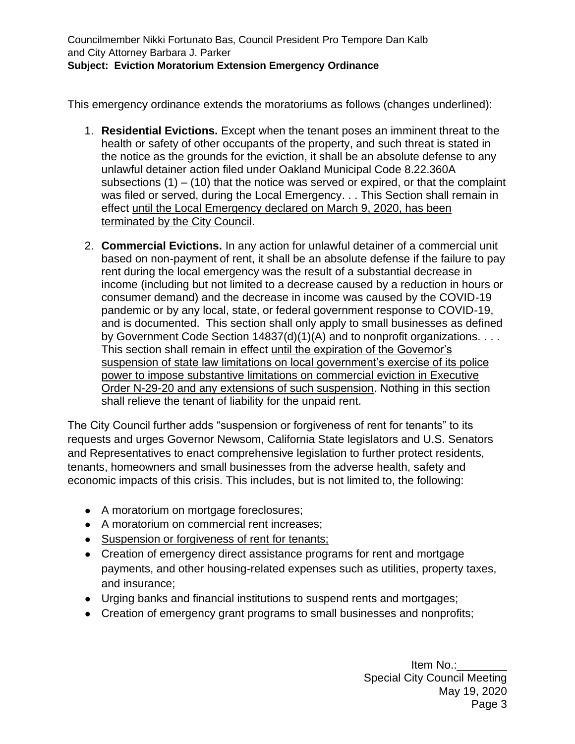This emergency ordinance extends the moratoriums as follows (changes underlined):

- 1. **Residential Evictions.** Except when the tenant poses an imminent threat to the health or safety of other occupants of the property, and such threat is stated in the notice as the grounds for the eviction, it shall be an absolute defense to any unlawful detainer action filed under Oakland Municipal Code 8.22.360A subsections  $(1) - (10)$  that the notice was served or expired, or that the complaint was filed or served, during the Local Emergency. . . This Section shall remain in effect until the Local Emergency declared on March 9, 2020, has been terminated by the City Council.
- 2. **Commercial Evictions.** In any action for unlawful detainer of a commercial unit based on non-payment of rent, it shall be an absolute defense if the failure to pay rent during the local emergency was the result of a substantial decrease in income (including but not limited to a decrease caused by a reduction in hours or consumer demand) and the decrease in income was caused by the COVID-19 pandemic or by any local, state, or federal government response to COVID-19, and is documented. This section shall only apply to small businesses as defined by Government Code Section 14837(d)(1)(A) and to nonprofit organizations. . . . This section shall remain in effect until the expiration of the Governor's suspension of state law limitations on local government's exercise of its police power to impose substantive limitations on commercial eviction in Executive Order N-29-20 and any extensions of such suspension. Nothing in this section shall relieve the tenant of liability for the unpaid rent.

The City Council further adds "suspension or forgiveness of rent for tenants" to its requests and urges Governor Newsom, California State legislators and U.S. Senators and Representatives to enact comprehensive legislation to further protect residents, tenants, homeowners and small businesses from the adverse health, safety and economic impacts of this crisis. This includes, but is not limited to, the following:

- A moratorium on mortgage foreclosures;
- A moratorium on commercial rent increases;
- Suspension or forgiveness of rent for tenants;
- Creation of emergency direct assistance programs for rent and mortgage payments, and other housing-related expenses such as utilities, property taxes, and insurance;
- Urging banks and financial institutions to suspend rents and mortgages;
- Creation of emergency grant programs to small businesses and nonprofits;

Item No.: Special City Council Meeting May 19, 2020 Page 3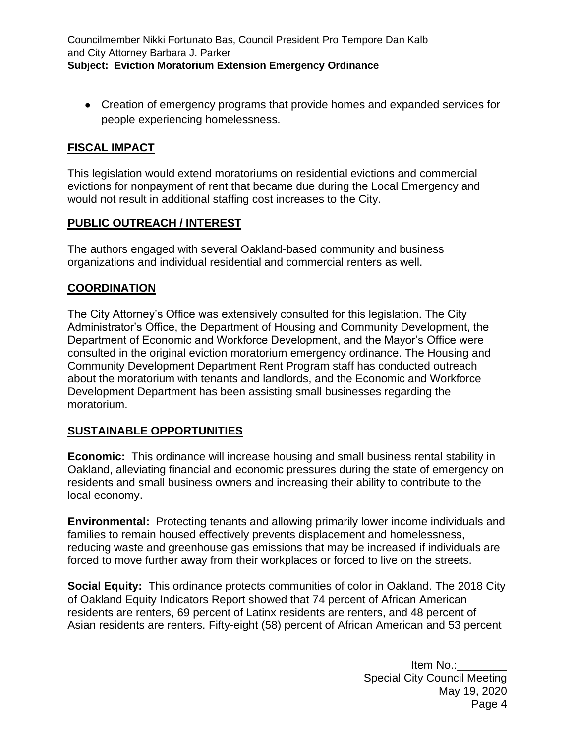• Creation of emergency programs that provide homes and expanded services for people experiencing homelessness.

#### **FISCAL IMPACT**

This legislation would extend moratoriums on residential evictions and commercial evictions for nonpayment of rent that became due during the Local Emergency and would not result in additional staffing cost increases to the City.

#### **PUBLIC OUTREACH / INTEREST**

The authors engaged with several Oakland-based community and business organizations and individual residential and commercial renters as well.

#### **COORDINATION**

The City Attorney's Office was extensively consulted for this legislation. The City Administrator's Office, the Department of Housing and Community Development, the Department of Economic and Workforce Development, and the Mayor's Office were consulted in the original eviction moratorium emergency ordinance. The Housing and Community Development Department Rent Program staff has conducted outreach about the moratorium with tenants and landlords, and the Economic and Workforce Development Department has been assisting small businesses regarding the moratorium.

#### **SUSTAINABLE OPPORTUNITIES**

**Economic:** This ordinance will increase housing and small business rental stability in Oakland, alleviating financial and economic pressures during the state of emergency on residents and small business owners and increasing their ability to contribute to the local economy.

**Environmental:** Protecting tenants and allowing primarily lower income individuals and families to remain housed effectively prevents displacement and homelessness, reducing waste and greenhouse gas emissions that may be increased if individuals are forced to move further away from their workplaces or forced to live on the streets.

**Social Equity:** This ordinance protects communities of color in Oakland. The 2018 City of Oakland Equity Indicators Report showed that 74 percent of African American residents are renters, 69 percent of Latinx residents are renters, and 48 percent of Asian residents are renters. Fifty-eight (58) percent of African American and 53 percent

> Item No.: Special City Council Meeting May 19, 2020 Page 4